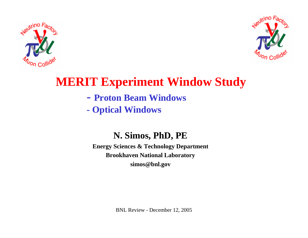



# **MERIT Experiment Window Study**

- **- Proton Beam Windows**
- **- Optical Windows**

### **N. Simos, PhD, PE**

**Energy Sciences & Technology Department Brookhaven National Laboratory simos@bnl.gov**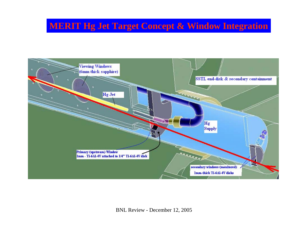## **MERIT Hg Jet Target Concept & Window Integration**

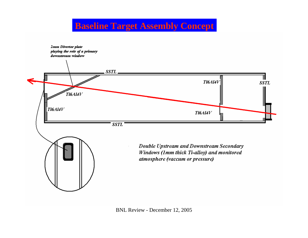## **Baseline Target Assembly Concept**

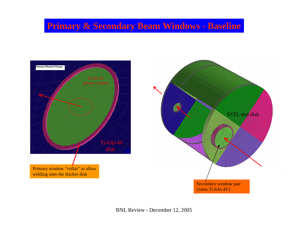## **Primary & Secondary Beam Windows - Baseline**



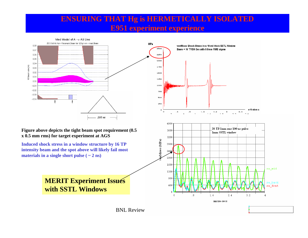#### **ENSURING THAT Hg is HERMETICALLY ISOLATED E951 experiment experience**

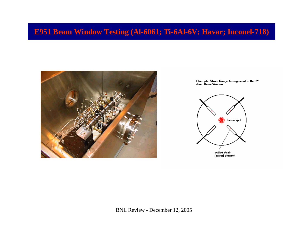### **E951 Beam Window Testing (Al-6061; Ti-6Al-6V; Havar; Inconel-718)**



Fiberoptic Strain Gauge Arrangement in the 2" diam. Beam Window

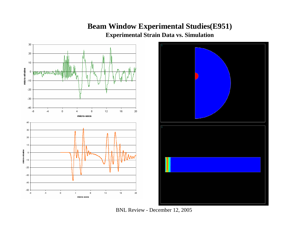#### **Beam Window Experimental Studies(E951)**

**Experimental Strain Data vs. Simulation**





BNL Review - December 12, 2005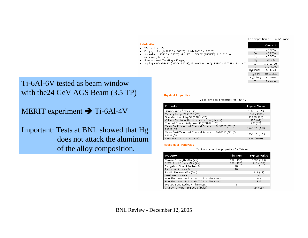#### The composition of Ti6Al4V Grade 5

Content

#### **Fabrication**

- · Weldability Fair
- Forging Rough 982°C (1800°F), finish 968°C (1775°F)
- Annealing 732°C (1350°F), 4hr, FC to 566°C (1050°F), A.C. F.C. not necessary for bars
- Solution Heat Treating Forgings
- Ageing 904-954°C (1660-1750°F), 5 min-2hrs, W.Q. 538°C (1000°F), 4hr, A.C.

| C                       | < 0.08%       |
|-------------------------|---------------|
| Fe                      | < 0.25%       |
| Ν,                      | < 0.05%       |
| O <sub>2</sub>          | < 0.2%        |
| Al                      | $5.5 - 6.76%$ |
| v                       | $3.5 - 4.5%$  |
| H <sub>2</sub> (sheet)  | < 0.015%      |
| H <sub>2</sub> (bar)    | < 0.0125%     |
| H <sub>2</sub> (billet) | < 0.01%       |
| Τi                      | Balance       |

#### Ti-6Al-6V tested as beam window with the24 GeV AGS Beam (3.5 TP)

#### MERIT experiment  $\rightarrow$  Ti-6Al-4V

Important: Tests at BNL showed that Hg does not attack the aluminumof the alloy composition.

#### **Physical Properties**

#### Typical physical properties for Ti6Al4V.

| Property                                                             | <b>Typical Value</b>       |
|----------------------------------------------------------------------|----------------------------|
| Density q/cm <sup>3</sup> (lb/ cu in)                                | 4.42(0.159)                |
| Melting Range °C±15°C (°F)                                           | 1649 (3000)                |
| Specific Heat J/kg.ºC (BTU/lb/ºF)                                    | 560 (0.134)                |
| Volume Electrical Resistivity ohm.cm (ohm.in)                        | 170 (67)                   |
| Thermal Conductivity W/m.K (BTU/ft.h.ºF)                             | 7.2(67)                    |
| Mean Co-Efficient of Thermal Expansion 0-100°C /°C (0-<br>212°F /°F) | $8.6\times10^{-6}$ (4.8)   |
| Mean Co-Efficient of Thermal Expansion 0-300°C /°C (0-<br>572°F /°F) | $9.2 \times 10^{-6}$ (5.1) |
| Rota Trancuc 90+1590 (9E)                                            | 000 (1830)                 |

#### **Mechanical Properties**

#### Typical mechanical properties for Ti6Al4V.

| Property                                    | Minimum   | <b>Typical Value</b> |
|---------------------------------------------|-----------|----------------------|
| Tensile Strength MPa (ksi)                  | 897 (130) | 1000 (145)           |
| 0.2% Proof Stress MPa (ksi)                 | 828 (120) | 910 (132)            |
| Elongation Over 2 Inches %                  | 10        | 18                   |
| Reduction in Area %                         | 20        |                      |
| Elastic Modulus GPa (Msi)                   |           | 114(17)              |
| Hardness Rockwell C                         |           | 36                   |
| Specified Bend Radius <0.070 in x Thickness |           | 4.5                  |
| Specified Bend Radius >0.070 in x Thickness |           | 5.0                  |
| Welded Bend Radius x Thickness              | ñ         |                      |
| Charpy, V-Notch Impact J (ft.lbf)           |           | 24 (18)              |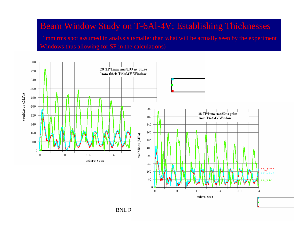## Beam Window Study on T-6Al-4V: Establishing Thicknesses

1mm rms spot assumed in analysis (smaller than what will be actually seen by the experiment Windows thus allowing for SF in the calculations)



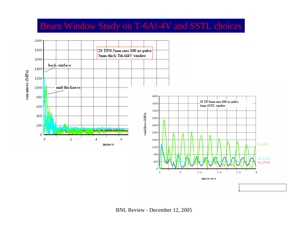# Beam Window Study on T-6Al-4V and SSTL choices

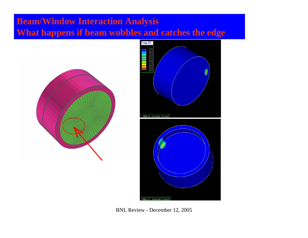## **Beam/Window Interaction Analysis What happens if beam wobbles and catches the edge**





BNL Review - December 12, 2005

MERIT Window Study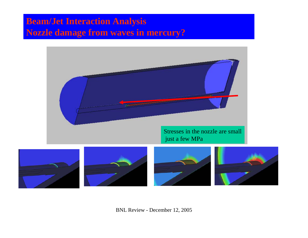## **Beam/Jet Interaction Analysis Nozzle damage from waves in mercury?**

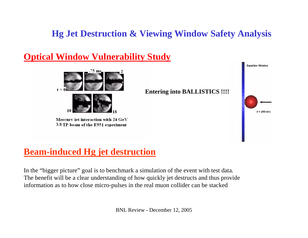## **Hg Jet Destruction & Viewing Window Safety Analysis**

### **Optical Window Vulnerability Study**



Mercury iet interaction with 24 GeV 3.8 TP beam of the E951 experiment



## **Beam-induced Hg jet destruction**

In the "bigger picture" goal is to benchmark a simulation of the event with test data. The benefit will be a clear understanding of how quickly jet destructs and thus provide information as to how close micro-pulses in the real muon collider can be stacked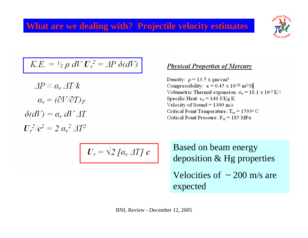## **What are we dealing with? Projectile velocity estimates**



$$
K.E. = \frac{1}{2} \rho \, dV \, U_r^2 = \Delta P \, \delta(dV)
$$

$$
\Delta P \approx \alpha_v \Delta T / k
$$

$$
\alpha_v = (\partial V / \partial T)_P
$$

$$
\delta(dV) = \alpha_v dV \Delta T
$$

$$
U_r^2 / c^2 = 2 \alpha_v^2 \Delta T^2
$$

#### **Physical Properties of Mercury**

Density:  $\rho = 13.5$  x gm/cm<sup>3</sup> Compressibility:  $\kappa = 0.45 \times 10^{-10} \text{ m}^2/\text{N}$ Volumetric Thermal expansion:  $\alpha_{\rm v} = 18.1 \times 10^{-5} \,\rm K^{-1}$ Specific Heat:  $c_v = 140$  J/Kg K Velocity of Sound =  $1300 \text{ m/s}$ Critical Point Temperature:  $T_{cr} = 1593$ ° C Critical Point Pressure:  $P_{cr} = 185 \text{ MPa}$ 

$$
U_r = \sqrt{2} \left[ \alpha_v \Delta T \right] c
$$

Based on beam energy deposition & Hg properties Velocities of  $\sim$  200 m/s are expected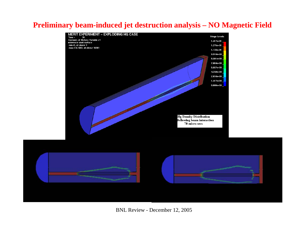#### **Preliminary beam-induced jet destruction analysis – NO Magnetic Field**

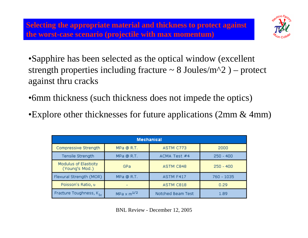

- •Sapphire has been selected as the optical window (excellent strength properties including fracture  $\sim 8$  Joules/m<sup> $\sim$ </sup>2 ) – protect against thru cracks
- •6mm thickness (such thickness does not impede the optics)
- •Explore other thicknesses for future applications (2mm & 4mm)

| <b>Mechanical</b>                       |                      |                   |             |  |  |  |
|-----------------------------------------|----------------------|-------------------|-------------|--|--|--|
| Compressive Strength                    | MPa @ R.T.           | ASTM C773         | 2000        |  |  |  |
| Tensile Strength                        | MPa @ R.T.           | ACMA Test #4      | $250 - 400$ |  |  |  |
| Modulus of Elasticity<br>(Young's Mod.) | GPa                  | ASTM C848         | $250 - 400$ |  |  |  |
| Flexural Strength (MOR)                 | MPa @ R.T.           | ASTM F417         | 760 - 1035  |  |  |  |
| Poisson's Ratio, u                      |                      | ASTM C818         | 0.29        |  |  |  |
| Fracture Toughness, K <sub>Tc</sub>     | $MPa \times m^{1/2}$ | Notched Beam Test | 1.89        |  |  |  |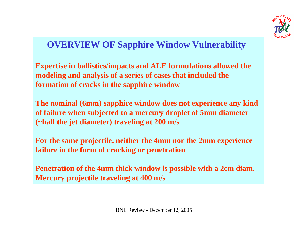

## **OVERVIEW OF Sapphire Window Vulnerability**

**Expertise in ballistics/impacts and ALE formulations allowed the modeling and analysis of a series of cases that included the formation of cracks in the sapphire window**

**The nominal (6mm) sapphire window does not experience any kind of failure when subjected to a mercury droplet of 5mm diameter (~half the jet diameter) traveling at 200 m/s**

**For the same projectile, neither the 4mm nor the 2mm experience failure in the form of cracking or penetration**

**Penetration of the 4mm thick window is possible with a 2cm diam. Mercury projectile traveling at 400 m/s**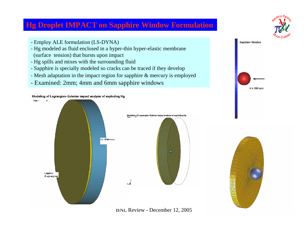#### **Hg Droplet IMPACT on Sapphire Window Formulation**

- Employ ALE formulation (LS-DYNA)
- Hg modeled as fluid enclosed in a hyper-thin hyper-elastic membrane (surface tension) that bursts upon impact
- Hg spills and mixes with the surrounding fluid
- Sapphire is specially modeled so cracks can be traced if they develop
- Mesh adaptation in the impact region for sapphire & mercury is employed
- Examined: 2mm; 4mm and 6mm sapphire windows





BNL Review - December 12, 2005



 $V = 200$  m/s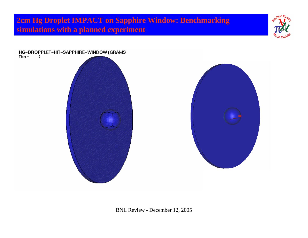**2cm Hg Droplet IMPACT on Sapphire Window: Benchmarking simulations with a planned experiment**



### HG-DROPPLET-HIT-SAPPHIRE-WINDOW (GRAMS<br>Time = 0

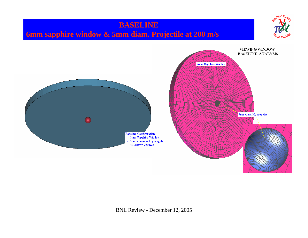## **BASELINE 6mm sapphire window & 5mm diam. Projectile at 200 m/s**



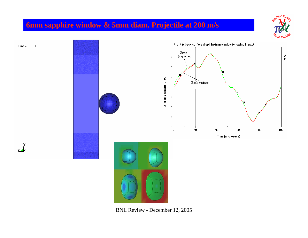### **6mm sapphire window & 5mm diam. Projectile at 200 m/s**



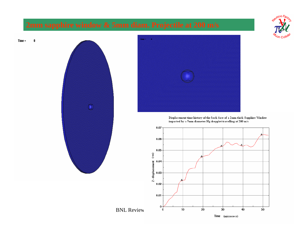





Displacement time history of the back face of a 2mm-thick Sapphire Window impacted by a 5mm diameter Hg dropplet travelling at 200 m/s

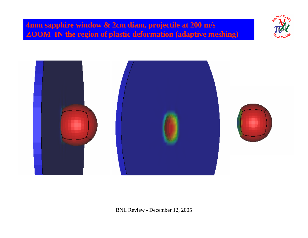### **4mm sapphire window & 2cm diam. projectile at 200 m/s ZOOM IN the region of plastic deformation (adaptive meshing)**



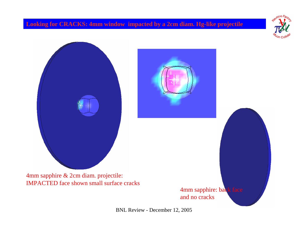#### **Looking for CRACKS: 4mm window impacted by a 2cm diam. Hg-like projectile**



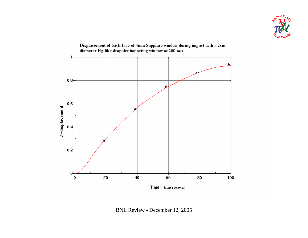



Displacement of back face of 4mm Sapphire window during impact with a 2cm

BNL Review - December 12, 2005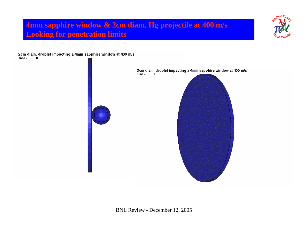### **4mm sapphire window & 2cm diam. Hg projectile at 400 m/s Looking for penetration limits**

2cm diam. droplet impacting a 4mm sapphire window at 400 m/s  $Time =$  $\mathbf{0}$ 

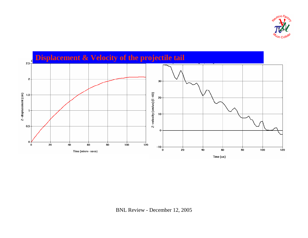